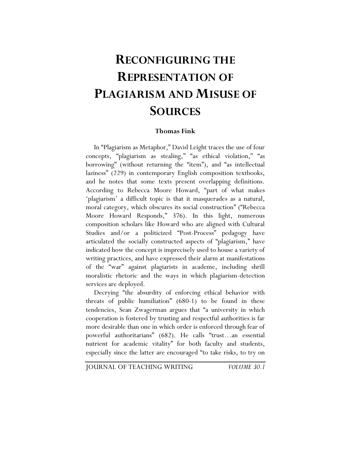## **RECONFIGURING THE REPRESENTATION OF PLAGIARISM AND MISUSE OF SOURCES**

## **Thomas Fink**

In "Plagiarism as Metaphor," David Leight traces the use of four concepts, "plagiarism as stealing," "as ethical violation," "as borrowing" (without returning the "item"), and "as intellectual laziness" (229) in contemporary English composition textbooks, and he notes that some texts present overlapping definitions. According to Rebecca Moore Howard, "part of what makes 'plagiarism' a difficult topic is that it masquerades as a natural, moral category, which obscures its social construction" ("Rebecca Moore Howard Responds," 376). In this light, numerous composition scholars like Howard who are aligned with Cultural Studies and/or a politicized "Post-Process" pedagogy have articulated the socially constructed aspects of "plagiarism," have indicated how the concept is imprecisely used to house a variety of writing practices, and have expressed their alarm at manifestations of the "war" against plagiarists in academe, including shrill moralistic rhetoric and the ways in which plagiarism-detection services are deployed.

Decrying "the absurdity of enforcing ethical behavior with threats of public humiliation" (680-1) to be found in these tendencies, Sean Zwagerman argues that "a university in which cooperation is fostered by trusting and respectful authorities is far more desirable than one in which order is enforced through fear of powerful authoritarians" (682). He calls "trust…an essential nutrient for academic vitality" for both faculty and students, especially since the latter are encouraged "to take risks, to try on

JOURNAL OF TEACHING WRITING *VOLUME 30.1*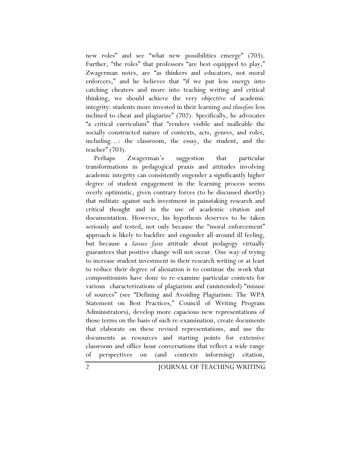new roles" and see "what new possibilities emerge" (703). Further, "the roles" that professors "are best equipped to play," Zwagerman notes, are "as thinkers and educators, not moral enforcers," and he believes that "if we put less energy into catching cheaters and more into teaching writing and critical thinking, we should achieve the very objective of academic integrity: students more invested in their learning *and therefore* less inclined to cheat and plagiarize" (702). Specifically, he advocates "a critical curriculum" that "renders visible and malleable the socially constructed nature of contexts, acts, genres, and roles, including…: the classroom, the essay, the student, and the teacher" (703).

Perhaps Zwagerman's suggestion that particular transformations in pedagogical praxis and attitudes involving academic integrity can consistently engender a significantly higher degree of student engagement in the learning process seems overly optimistic, given contrary forces (to be discussed shortly) that militate against such investment in painstaking research and critical thought and in the use of academic citation and documentation. However, his hypothesis deserves to be taken seriously and tested, not only because the "moral enforcement" approach is likely to backfire and engender all-around ill feeling, but because a *laissez faire* attitude about pedagogy virtually guarantees that positive change will not occur. One way of trying to increase student investment in their research writing or at least to reduce their degree of alienation is to continue the work that compositionists have done to re-examine particular contexts for various characterizations of plagiarism and (unintended) "misuse of sources" (see "Defining and Avoiding Plagiarism: The WPA Statement on Best Practices," Council of Writing Program Administrators), develop more capacious new representations of those terms on the basis of such re-examination, create documents that elaborate on these revised representations, and use the documents as resources and starting points for extensive classroom and office hour conversations that reflect a wide range of perspectives on (and contexts informing) citation,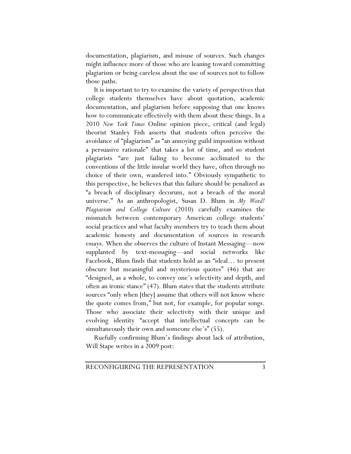documentation, plagiarism, and misuse of sources. Such changes might influence more of those who are leaning toward committing plagiarism or being careless about the use of sources not to follow those paths.

It is important to try to examine the variety of perspectives that college students themselves have about quotation, academic documentation, and plagiarism before supposing that one knows how to communicate effectively with them about these things. In a 2010 *New York Times* Online opinion piece, critical (and legal) theorist Stanley Fish asserts that students often perceive the avoidance of "plagiarism" as "an annoying guild imposition without a persuasive rationale" that takes a lot of time, and so student plagiarists "are just failing to become acclimated to the conventions of the little insular world they have, often through no choice of their own, wandered into." Obviously sympathetic to this perspective, he believes that this failure should be penalized as "a breach of disciplinary decorum, not a breach of the moral universe." As an anthropologist, Susan D. Blum in *My Word! Plagiarism and College Culture* (2010) carefully examines the mismatch between contemporary American college students' social practices and what faculty members try to teach them about academic honesty and documentation of sources in research essays. When she observes the culture of Instant Messaging—now supplanted by text-messaging—and social networks like Facebook, Blum finds that students hold as an "ideal… to present obscure but meaningful and mysterious quotes" (46) that are "designed, as a whole, to convey one's selectivity and depth, and often an ironic stance" (47). Blum states that the students attribute sources "only when [they] assume that others will not know where the quote comes from," but not, for example, for popular songs. Those who associate their selectivity with their unique and evolving identity "accept that intellectual concepts can be simultaneously their own and someone else's" (55).

Ruefully confirming Blum's findings about lack of attribution, Will Stape writes in a 2009 post: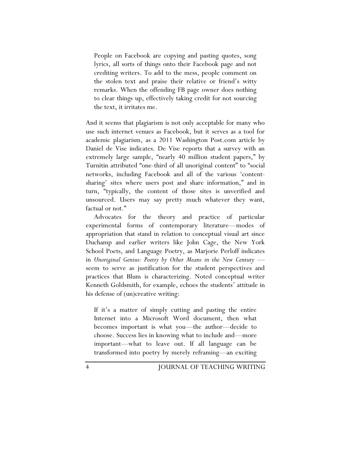People on Facebook are copying and pasting quotes, song lyrics, all sorts of things onto their Facebook page and not crediting writers. To add to the mess, people comment on the stolen text and praise their relative or friend's witty remarks. When the offending FB page owner does nothing to clear things up, effectively taking credit for not sourcing the text, it irritates me.

And it seems that plagiarism is not only acceptable for many who use such internet venues as Facebook, but it serves as a tool for academic plagiarism, as a 2011 Washington Post.com article by Daniel de Vise indicates. De Vise reports that a survey with an extremely large sample, "nearly 40 million student papers," by Turnitin attributed "one-third of all unoriginal content" to "social networks, including Facebook and all of the various 'contentsharing' sites where users post and share information," and in turn, "typically, the content of those sites is unverified and unsourced. Users may say pretty much whatever they want, factual or not."

Advocates for the theory and practice of particular experimental forms of contemporary literature—modes of appropriation that stand in relation to conceptual visual art since Duchamp and earlier writers like John Cage, the New York School Poets, and Language Poetry, as Marjorie Perloff indicates in *Unoriginal Genius: Poetry by Other Means in the New Century* seem to serve as justification for the student perspectives and practices that Blum is characterizing. Noted conceptual writer Kenneth Goldsmith, for example, echoes the students' attitude in his defense of (un)creative writing:

If it's a matter of simply cutting and pasting the entire Internet into a Microsoft Word document, then what becomes important is what you—the author—decide to choose. Success lies in knowing what to include and—more important—what to leave out. If all language can be transformed into poetry by merely reframing—an exciting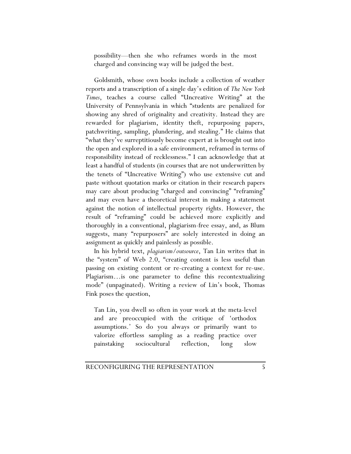possibility—then she who reframes words in the most charged and convincing way will be judged the best.

Goldsmith, whose own books include a collection of weather reports and a transcription of a single day's edition of *The New York Times*, teaches a course called "Uncreative Writing" at the University of Pennsylvania in which "students are penalized for showing any shred of originality and creativity. Instead they are rewarded for plagiarism, identity theft, repurposing papers, patchwriting, sampling, plundering, and stealing." He claims that "what they've surreptitiously become expert at is brought out into the open and explored in a safe environment, reframed in terms of responsibility instead of recklessness." I can acknowledge that at least a handful of students (in courses that are not underwritten by the tenets of "Uncreative Writing") who use extensive cut and paste without quotation marks or citation in their research papers may care about producing "charged and convincing" "reframing" and may even have a theoretical interest in making a statement against the notion of intellectual property rights. However, the result of "reframing" could be achieved more explicitly and thoroughly in a conventional, plagiarism-free essay, and, as Blum suggests, many "repurposers" are solely interested in doing an assignment as quickly and painlessly as possible.

In his hybrid text, *plagiarism/outsource*, Tan Lin writes that in the "system" of Web 2.0, "creating content is less useful than passing on existing content or re-creating a context for re-use. Plagiarism…is one parameter to define this recontextualizing mode" (unpaginated). Writing a review of Lin's book, Thomas Fink poses the question,

Tan Lin, you dwell so often in your work at the meta-level and are preoccupied with the critique of 'orthodox assumptions.' So do you always or primarily want to valorize effortless sampling as a reading practice over painstaking sociocultural reflection, long slow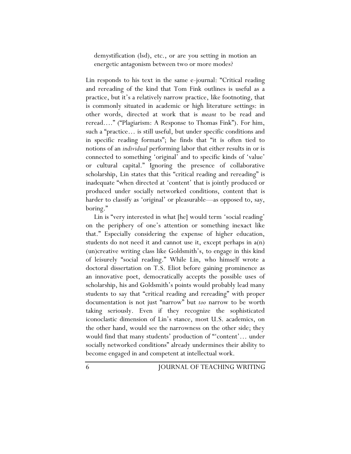demystification (lsd), etc., or are you setting in motion an energetic antagonism between two or more modes?

Lin responds to his text in the same e-journal: "Critical reading and rereading of the kind that Tom Fink outlines is useful as a practice, but it's a relatively narrow practice, like footnoting, that is commonly situated in academic or high literature settings: in other words, directed at work that is *meant* to be read and reread…." ("Plagiarism: A Response to Thomas Fink"). For him, such a "practice… is still useful, but under specific conditions and in specific reading formats"; he finds that "it is often tied to notions of an *individual* performing labor that either results in or is connected to something 'original' and to specific kinds of 'value' or cultural capital." Ignoring the presence of collaborative scholarship, Lin states that this "critical reading and rereading" is inadequate "when directed at 'content' that is jointly produced or produced under socially networked conditions, content that is harder to classify as 'original' or pleasurable—as opposed to, say, boring."

Lin is "very interested in what [he] would term 'social reading' on the periphery of one's attention or something inexact like that." Especially considering the expense of higher education, students do not need it and cannot use it, except perhaps in a(n) (un)creative writing class like Goldsmith's, to engage in this kind of leisurely "social reading." While Lin, who himself wrote a doctoral dissertation on T.S. Eliot before gaining prominence as an innovative poet, democratically accepts the possible uses of scholarship, his and Goldsmith's points would probably lead many students to say that "critical reading and rereading" with proper documentation is not just "narrow" but *too* narrow to be worth taking seriously. Even if they recognize the sophisticated iconoclastic dimension of Lin's stance, most U.S. academics, on the other hand, would see the narrowness on the other side; they would find that many students' production of "'content'… under socially networked conditions" already undermines their ability to become engaged in and competent at intellectual work.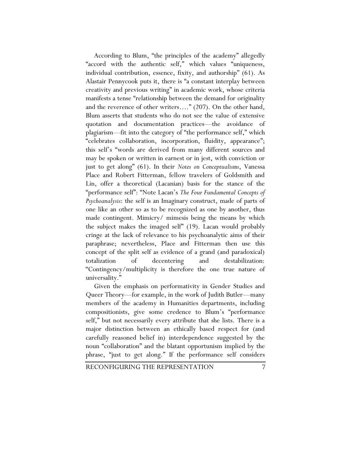According to Blum, "the principles of the academy" allegedly "accord with the authentic self," which values "uniqueness, individual contribution, essence, fixity, and authorship" (61). As Alastair Pennycook puts it, there is "a constant interplay between creativity and previous writing" in academic work, whose criteria manifests a tense "relationship between the demand for originality and the reverence of other writers…." (207). On the other hand, Blum asserts that students who do not see the value of extensive quotation and documentation practices—the avoidance of plagiarism—fit into the category of "the performance self," which "celebrates collaboration, incorporation, fluidity, appearance"; this self's "words are derived from many different sources and may be spoken or written in earnest or in jest, with conviction or just to get along" (61). In their *Notes on Conceptualisms*, Vanessa Place and Robert Fitterman, fellow travelers of Goldsmith and Lin, offer a theoretical (Lacanian) basis for the stance of the "performance self": "Note Lacan's *The Four Fundamental Concepts of Psychoanalysis*: the self is an Imaginary construct, made of parts of one like an other so as to be recognized as one by another, thus made contingent. Mimicry/ mimesis being the means by which the subject makes the imaged self" (19). Lacan would probably cringe at the lack of relevance to his psychoanalytic aims of their paraphrase; nevertheless, Place and Fitterman then use this concept of the split self as evidence of a grand (and paradoxical) totalization of decentering and destabilization: "Contingency/multiplicity is therefore the one true nature of universality."

Given the emphasis on performativity in Gender Studies and Queer Theory—for example, in the work of Judith Butler—many members of the academy in Humanities departments, including compositionists, give some credence to Blum's "performance self," but not necessarily every attribute that she lists. There is a major distinction between an ethically based respect for (and carefully reasoned belief in) interdependence suggested by the noun "collaboration" and the blatant opportunism implied by the phrase, "just to get along." If the performance self considers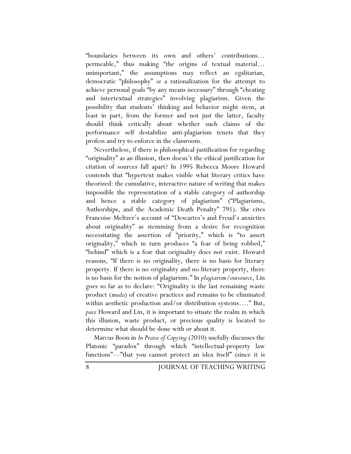"boundaries between its own and others' contributions… permeable," thus making "the origins of textual material… unimportant," the assumptions may reflect an egalitarian, democratic "philosophy" *or* a rationalization for the attempt to achieve personal goals "by any means necessary" through "cheating and intertextual strategies" involving plagiarism. Given the possibility that students' thinking and behavior might stem, at least in part, from the former and not just the latter, faculty should think critically about whether such claims of the performance self destabilize anti-plagiarism tenets that they profess and try to enforce in the classroom.

Nevertheless, if there is philosophical justification for regarding "originality" as an illusion, then doesn't the ethical justification for citation of sources fall apart? In 1995 Rebecca Moore Howard contends that "hypertext makes visible what literary critics have theorized: the cumulative, interactive nature of writing that makes impossible the representation of a stable category of authorship and hence a stable category of plagiarism" ("Plagiarisms, Authorships, and the Academic Death Penalty" 791). She cites Francoise Meltzer's account of "Descartes's and Freud's anxieties about originality" as stemming from a desire for recognition necessitating the assertion of "priority," which is "to assert originality," which in turn produces "a fear of being robbed," "behind" which is a fear that originality does not exist. Howard reasons, "If there is no originality, there is no basis for literary property. If there is no originality and no literary property, there is no basis for the notion of plagiarism." In *plagiarism/outsource*, Lin goes so far as to declare: "Originality is the last remaining waste product (*muda*) of creative practices and remains to be eliminated within aesthetic production and/or distribution systems…." But, *pace* Howard and Lin, it is important to situate the realm in which this illusion, waste product, or precious quality is located to determine what should be done with or about it.

Marcus Boon in *In Praise of Copying* (2010) usefully discusses the Platonic "paradox" through which "intellectual-property law functions"—"that you cannot protect an idea itself" (since it is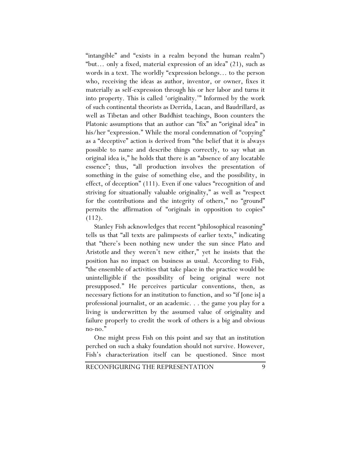"intangible" and "exists in a realm beyond the human realm") "but… only a fixed, material expression of an idea" (21), such as words in a text. The worldly "expression belongs… to the person who, receiving the ideas as author, inventor, or owner, fixes it materially as self-expression through his or her labor and turns it into property. This is called 'originality.'" Informed by the work of such continental theorists as Derrida, Lacan, and Baudrillard, as well as Tibetan and other Buddhist teachings, Boon counters the Platonic assumptions that an author can "fix" an "original idea" in his/her "expression." While the moral condemnation of "copying" as a "deceptive" action is derived from "the belief that it is always possible to name and describe things correctly, to say what an original idea is," he holds that there is an "absence of any locatable essence"; thus, "all production involves the presentation of something in the guise of something else, and the possibility, in effect, of deception" (111). Even if one values "recognition of and striving for situationally valuable originality," as well as "respect for the contributions and the integrity of others," no "ground" permits the affirmation of "originals in opposition to copies" (112).

Stanley Fish acknowledges that recent "philosophical reasoning" tells us that "all texts are palimpsests of earlier texts," indicating that "there's been nothing new under the sun since Plato and Aristotle and they weren't new either," yet he insists that the position has no impact on business as usual. According to Fish, "the ensemble of activities that take place in the practice would be unintelligible if the possibility of being original were not presupposed." He perceives particular conventions, then, as necessary fictions for an institution to function, and so "if [one is] a professional journalist, or an academic. . . the game you play for a living is underwritten by the assumed value of originality and failure properly to credit the work of others is a big and obvious no-no."

One might press Fish on this point and say that an institution perched on such a shaky foundation should not survive. However, Fish's characterization itself can be questioned. Since most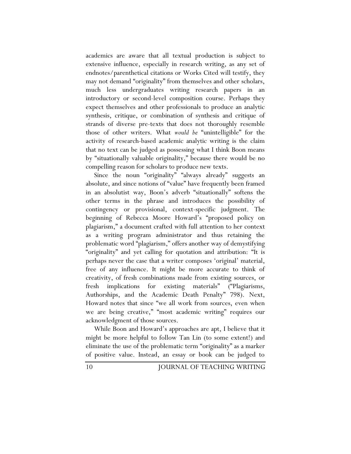academics are aware that all textual production is subject to extensive influence, especially in research writing, as any set of endnotes/parenthetical citations or Works Cited will testify, they may not demand "originality" from themselves and other scholars, much less undergraduates writing research papers in an introductory or second-level composition course. Perhaps they expect themselves and other professionals to produce an analytic synthesis, critique, or combination of synthesis and critique of strands of diverse pre-texts that does not thoroughly resemble those of other writers. What *would be* "unintelligible" for the activity of research-based academic analytic writing is the claim that no text can be judged as possessing what I think Boon means by "situationally valuable originality," because there would be no compelling reason for scholars to produce new texts.

Since the noun "originality" "always already" suggests an absolute, and since notions of "value" have frequently been framed in an absolutist way, Boon's adverb "situationally" softens the other terms in the phrase and introduces the possibility of contingency or provisional, context-specific judgment. The beginning of Rebecca Moore Howard's "proposed policy on plagiarism," a document crafted with full attention to her context as a writing program administrator and thus retaining the problematic word "plagiarism," offers another way of demystifying "originality" and yet calling for quotation and attribution: "It is perhaps never the case that a writer composes 'original' material, free of any influence. It might be more accurate to think of creativity, of fresh combinations made from existing sources, or fresh implications for existing materials" ("Plagiarisms, Authorships, and the Academic Death Penalty" 798). Next, Howard notes that since "we all work from sources, even when we are being creative," "most academic writing" requires our acknowledgment of those sources.

While Boon and Howard's approaches are apt, I believe that it might be more helpful to follow Tan Lin (to some extent!) and eliminate the use of the problematic term "originality" as a marker of positive value. Instead, an essay or book can be judged to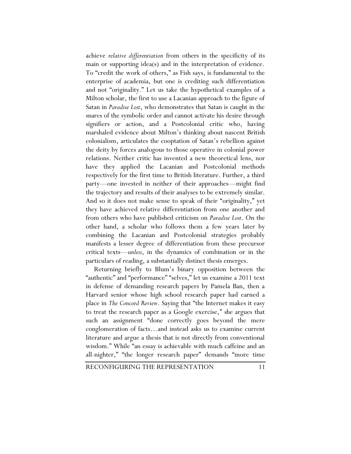achieve *relative differentiation* from others in the specificity of its main or supporting idea(s) and in the interpretation of evidence. To "credit the work of others," as Fish says, is fundamental to the enterprise of academia, but one is crediting such differentiation and not "originality." Let us take the hypothetical examples of a Milton scholar, the first to use a Lacanian approach to the figure of Satan in *Paradise Lost*, who demonstrates that Satan is caught in the snares of the symbolic order and cannot activate his desire through signifiers or action, and a Postcolonial critic who, having marshaled evidence about Milton's thinking about nascent British colonialism, articulates the cooptation of Satan's rebellion against the deity by forces analogous to those operative in colonial power relations. Neither critic has invented a new theoretical lens, nor have they applied the Lacanian and Postcolonial methods respectively for the first time to British literature. Further, a third party—one invested in neither of their approaches—might find the trajectory and results of their analyses to be extremely similar. And so it does not make sense to speak of their "originality," yet they have achieved relative differentiation from one another and from others who have published criticism on *Paradise Lost*. On the other hand, a scholar who follows them a few years later by combining the Lacanian and Postcolonial strategies probably manifests a lesser degree of differentiation from these precursor critical texts—*unless*, in the dynamics of combination or in the particulars of reading, a substantially distinct thesis emerges.

Returning briefly to Blum's binary opposition between the "authentic" and "performance" "selves," let us examine a 2011 text in defense of demanding research papers by Pamela Ban, then a Harvard senior whose high school research paper had earned a place in *The Concord Review*. Saying that "the Internet makes it easy to treat the research paper as a Google exercise," she argues that such an assignment "done correctly goes beyond the mere conglomeration of facts…and instead asks us to examine current literature and argue a thesis that is not directly from conventional wisdom." While "an essay is achievable with much caffeine and an all-nighter," "the longer research paper" demands "more time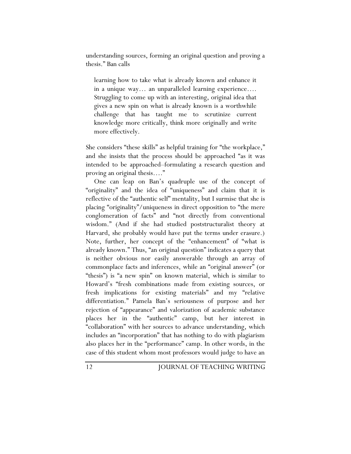understanding sources, forming an original question and proving a thesis." Ban calls

learning how to take what is already known and enhance it in a unique way… an unparalleled learning experience…. Struggling to come up with an interesting, original idea that gives a new spin on what is already known is a worthwhile challenge that has taught me to scrutinize current knowledge more critically, think more originally and write more effectively.

She considers "these skills" as helpful training for "the workplace," and she insists that the process should be approached "as it was intended to be approached–formulating a research question and proving an original thesis…."

One can leap on Ban's quadruple use of the concept of "originality" and the idea of "uniqueness" and claim that it is reflective of the "authentic self" mentality, but I surmise that she is placing "originality"/uniqueness in direct opposition to "the mere conglomeration of facts" and "not directly from conventional wisdom." (And if she had studied poststructuralist theory at Harvard, she probably would have put the terms under erasure.) Note, further, her concept of the "enhancement" of "what is already known." Thus, "an original question" indicates a query that is neither obvious nor easily answerable through an array of commonplace facts and inferences, while an "original answer" (or "thesis") is "a new spin" on known material, which is similar to Howard's "fresh combinations made from existing sources, or fresh implications for existing materials" and my "relative differentiation." Pamela Ban's seriousness of purpose and her rejection of "appearance" and valorization of academic substance places her in the "authentic" camp, but her interest in "collaboration" with her sources to advance understanding, which includes an "incorporation" that has nothing to do with plagiarism also places her in the "performance" camp. In other words, in the case of this student whom most professors would judge to have an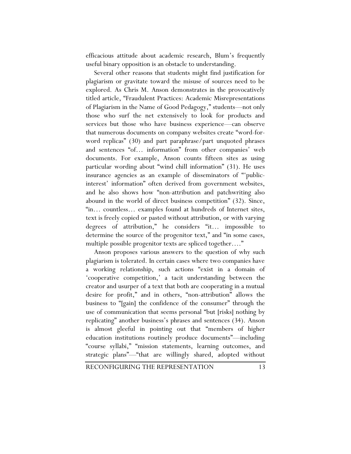efficacious attitude about academic research, Blum's frequently useful binary opposition is an obstacle to understanding.

Several other reasons that students might find justification for plagiarism or gravitate toward the misuse of sources need to be explored. As Chris M. Anson demonstrates in the provocatively titled article, "Fraudulent Practices: Academic Misrepresentations of Plagiarism in the Name of Good Pedagogy," students—not only those who surf the net extensively to look for products and services but those who have business experience—can observe that numerous documents on company websites create "word-forword replicas" (30) and part paraphrase/part unquoted phrases and sentences "of… information" from other companies' web documents. For example, Anson counts fifteen sites as using particular wording about "wind chill information" (31). He uses insurance agencies as an example of disseminators of "'publicinterest' information" often derived from government websites, and he also shows how "non-attribution and patchwriting also abound in the world of direct business competition" (32). Since, "in… countless… examples found at hundreds of Internet sites, text is freely copied or pasted without attribution, or with varying degrees of attribution," he considers "it… impossible to determine the source of the progenitor text," and "in some cases, multiple possible progenitor texts are spliced together...."

Anson proposes various answers to the question of why such plagiarism is tolerated. In certain cases where two companies have a working relationship, such actions "exist in a domain of 'cooperative competition,' a tacit understanding between the creator and usurper of a text that both are cooperating in a mutual desire for profit," and in others, "non-attribution" allows the business to "[gain] the confidence of the consumer" through the use of communication that seems personal "but [risks] nothing by replicating" another business's phrases and sentences (34). Anson is almost gleeful in pointing out that "members of higher education institutions routinely produce documents"—including "course syllabi," "mission statements, learning outcomes, and strategic plans"—"that are willingly shared, adopted without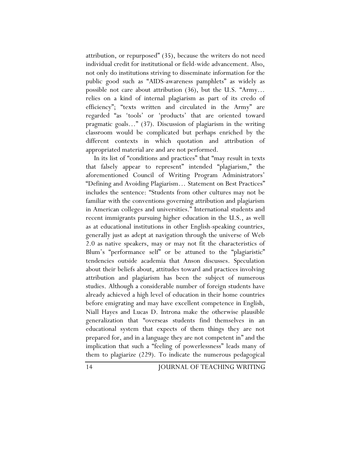attribution, or repurposed" (35), because the writers do not need individual credit for institutional or field-wide advancement. Also, not only do institutions striving to disseminate information for the public good such as "AIDS-awareness pamphlets" as widely as possible not care about attribution (36), but the U.S. "Army… relies on a kind of internal plagiarism as part of its credo of efficiency"; "texts written and circulated in the Army" are regarded "as 'tools' or 'products' that are oriented toward pragmatic goals…" (37). Discussion of plagiarism in the writing classroom would be complicated but perhaps enriched by the different contexts in which quotation and attribution of appropriated material are and are not performed.

In its list of "conditions and practices" that "may result in texts that falsely appear to represent" intended "plagiarism," the aforementioned Council of Writing Program Administrators' "Defining and Avoiding Plagiarism… Statement on Best Practices" includes the sentence: "Students from other cultures may not be familiar with the conventions governing attribution and plagiarism in American colleges and universities." International students and recent immigrants pursuing higher education in the U.S., as well as at educational institutions in other English-speaking countries, generally just as adept at navigation through the universe of Web 2.0 as native speakers, may or may not fit the characteristics of Blum's "performance self" or be attuned to the "plagiaristic" tendencies outside academia that Anson discusses. Speculation about their beliefs about, attitudes toward and practices involving attribution and plagiarism has been the subject of numerous studies. Although a considerable number of foreign students have already achieved a high level of education in their home countries before emigrating and may have excellent competence in English, Niall Hayes and Lucas D. Introna make the otherwise plausible generalization that "overseas students find themselves in an educational system that expects of them things they are not prepared for, and in a language they are not competent in" and the implication that such a "feeling of powerlessness" leads many of them to plagiarize (229). To indicate the numerous pedagogical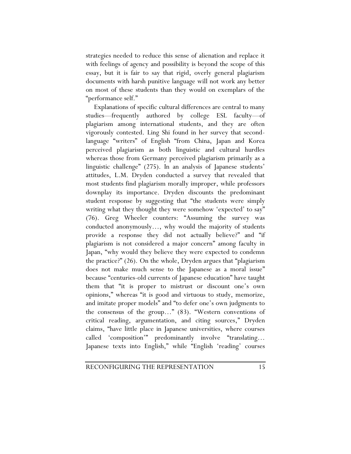strategies needed to reduce this sense of alienation and replace it with feelings of agency and possibility is beyond the scope of this essay, but it is fair to say that rigid, overly general plagiarism documents with harsh punitive language will not work any better on most of these students than they would on exemplars of the "performance self."

Explanations of specific cultural differences are central to many studies—frequently authored by college ESL faculty—of plagiarism among international students, and they are often vigorously contested. Ling Shi found in her survey that secondlanguage "writers" of English "from China, Japan and Korea perceived plagiarism as both linguistic and cultural hurdles whereas those from Germany perceived plagiarism primarily as a linguistic challenge" (275). In an analysis of Japanese students' attitudes, L.M. Dryden conducted a survey that revealed that most students find plagiarism morally improper, while professors downplay its importance. Dryden discounts the predominant student response by suggesting that "the students were simply writing what they thought they were somehow 'expected' to say" (76). Greg Wheeler counters: "Assuming the survey was conducted anonymously…, why would the majority of students provide a response they did not actually believe?" and "if plagiarism is not considered a major concern" among faculty in Japan, "why would they believe they were expected to condemn the practice?" (26). On the whole, Dryden argues that "plagiarism does not make much sense to the Japanese as a moral issue" because "centuries-old currents of Japanese education" have taught them that "it is proper to mistrust or discount one's own opinions," whereas "it is good and virtuous to study, memorize, and imitate proper models" and "to defer one's own judgments to the consensus of the group…" (83). "Western conventions of critical reading, argumentation, and citing sources," Dryden claims, "have little place in Japanese universities, where courses called 'composition'" predominantly involve "translating… Japanese texts into English," while "English 'reading' courses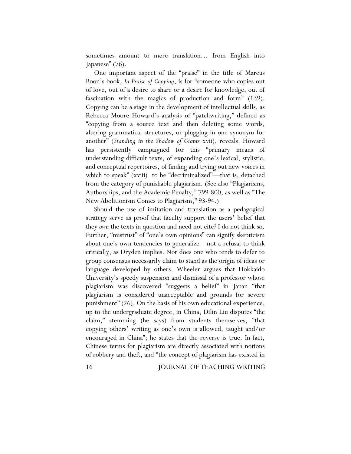sometimes amount to mere translation… from English into Japanese" (76).

One important aspect of the "praise" in the title of Marcus Boon's book, *In Praise of Copying*, is for "someone who copies out of love, out of a desire to share or a desire for knowledge, out of fascination with the magics of production and form" (139). Copying can be a stage in the development of intellectual skills, as Rebecca Moore Howard's analysis of "patchwriting," defined as "copying from a source text and then deleting some words, altering grammatical structures, or plugging in one synonym for another" (*Standing in the Shadow of Giants* xvii), reveals. Howard has persistently campaigned for this "primary means of understanding difficult texts, of expanding one's lexical, stylistic, and conceptual repertoires, of finding and trying out new voices in which to speak" (xviii) to be "decriminalized"—that is, detached from the category of punishable plagiarism. (See also "Plagiarisms, Authorships, and the Academic Penalty," 799-800, as well as "The New Abolitionism Comes to Plagiarism," 93-94.)

Should the use of imitation and translation as a pedagogical strategy serve as proof that faculty support the users' belief that they *own* the texts in question and need not cite? I do not think so. Further, "mistrust" of "one's own opinions" can signify skepticism about one's own tendencies to generalize—not a refusal to think critically, as Dryden implies. Nor does one who tends to defer to group consensus necessarily claim to stand as the origin of ideas or language developed by others. Wheeler argues that Hokkaido University's speedy suspension and dismissal of a professor whose plagiarism was discovered "suggests a belief" in Japan "that plagiarism is considered unacceptable and grounds for severe punishment" (26). On the basis of his own educational experience, up to the undergraduate degree, in China, Dilin Liu disputes "the claim," stemming (he says) from students themselves, "that copying others' writing as one's own is allowed, taught and/or encouraged in China"; he states that the reverse is true. In fact, Chinese terms for plagiarism are directly associated with notions of robbery and theft, and "the concept of plagiarism has existed in

16 JOURNAL OF TEACHING WRITING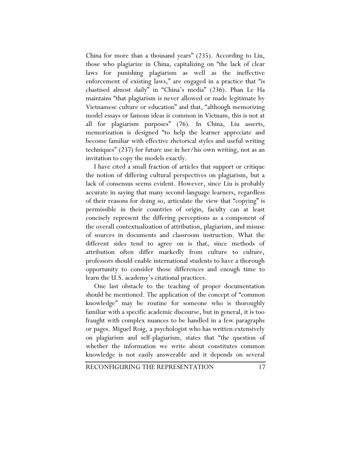China for more than a thousand years" (235). According to Liu, those who plagiarize in China, capitalizing on "the lack of clear laws for punishing plagiarism as well as the ineffective enforcement of existing laws," are engaged in a practice that "is chastised almost daily" in "China's media" (236). Phan Le Ha maintains "that plagiarism is never allowed or made legitimate by Vietnamese culture or education" and that, "although memorizing model essays or famous ideas is common in Vietnam, this is not at all for plagiarism purposes" (76). In China, Liu asserts, memorization is designed "to help the learner appreciate and become familiar with effective rhetorical styles and useful writing techniques" (237) for future use in her/his own writing, not as an invitation to copy the models exactly.

I have cited a small fraction of articles that support or critique the notion of differing cultural perspectives on plagiarism, but a lack of consensus seems evident. However, since Liu is probably accurate in saying that many second-language learners, regardless of their reasons for doing so, articulate the view that "copying" is permissible in their countries of origin, faculty can at least concisely represent the differing perceptions as a component of the overall contextualization of attribution, plagiarism, and misuse of sources in documents and classroom instruction. What the different sides tend to agree on is that, since methods of attribution often differ markedly from culture to culture, professors should enable international students to have a thorough opportunity to consider those differences and enough time to learn the U.S. academy's citational practices.

One last obstacle to the teaching of proper documentation should be mentioned. The application of the concept of "common knowledge" may be routine for someone who is thoroughly familiar with a specific academic discourse, but in general, it is too fraught with complex nuances to be handled in a few paragraphs or pages. Miguel Roig, a psychologist who has written extensively on plagiarism and self-plagiarism, states that "the question of whether the information we write about constitutes common knowledge is not easily answerable and it depends on several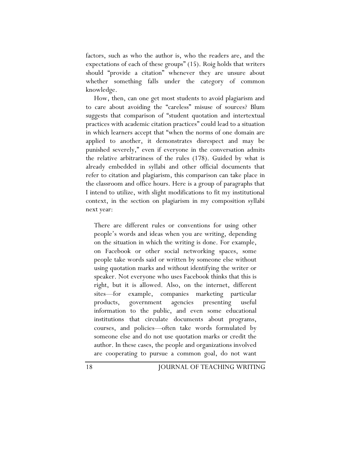factors, such as who the author is, who the readers are, and the expectations of each of these groups" (15). Roig holds that writers should "provide a citation" whenever they are unsure about whether something falls under the category of common knowledge.

How, then, can one get most students to avoid plagiarism and to care about avoiding the "careless" misuse of sources? Blum suggests that comparison of "student quotation and intertextual practices with academic citation practices" could lead to a situation in which learners accept that "when the norms of one domain are applied to another, it demonstrates disrespect and may be punished severely," even if everyone in the conversation admits the relative arbitrariness of the rules (178). Guided by what is already embedded in syllabi and other official documents that refer to citation and plagiarism, this comparison can take place in the classroom and office hours. Here is a group of paragraphs that I intend to utilize, with slight modifications to fit my institutional context, in the section on plagiarism in my composition syllabi next year:

There are different rules or conventions for using other people's words and ideas when you are writing, depending on the situation in which the writing is done. For example, on Facebook or other social networking spaces, some people take words said or written by someone else without using quotation marks and without identifying the writer or speaker. Not everyone who uses Facebook thinks that this is right, but it is allowed. Also, on the internet, different sites—for example, companies marketing particular products, government agencies presenting useful information to the public, and even some educational institutions that circulate documents about programs, courses, and policies—often take words formulated by someone else and do not use quotation marks or credit the author. In these cases, the people and organizations involved are cooperating to pursue a common goal, do not want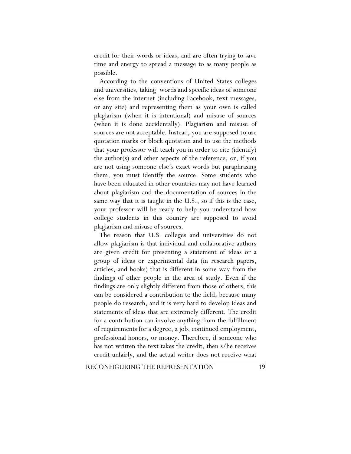credit for their words or ideas, and are often trying to save time and energy to spread a message to as many people as possible.

According to the conventions of United States colleges and universities, taking words and specific ideas of someone else from the internet (including Facebook, text messages, or any site) and representing them as your own is called plagiarism (when it is intentional) and misuse of sources (when it is done accidentally). Plagiarism and misuse of sources are not acceptable. Instead, you are supposed to use quotation marks or block quotation and to use the methods that your professor will teach you in order to cite (identify) the author(s) and other aspects of the reference, or, if you are not using someone else's exact words but paraphrasing them, you must identify the source. Some students who have been educated in other countries may not have learned about plagiarism and the documentation of sources in the same way that it is taught in the U.S., so if this is the case, your professor will be ready to help you understand how college students in this country are supposed to avoid plagiarism and misuse of sources.

The reason that U.S. colleges and universities do not allow plagiarism is that individual and collaborative authors are given credit for presenting a statement of ideas or a group of ideas or experimental data (in research papers, articles, and books) that is different in some way from the findings of other people in the area of study. Even if the findings are only slightly different from those of others, this can be considered a contribution to the field, because many people do research, and it is very hard to develop ideas and statements of ideas that are extremely different. The credit for a contribution can involve anything from the fulfillment of requirements for a degree, a job, continued employment, professional honors, or money. Therefore, if someone who has not written the text takes the credit, then s/he receives credit unfairly, and the actual writer does not receive what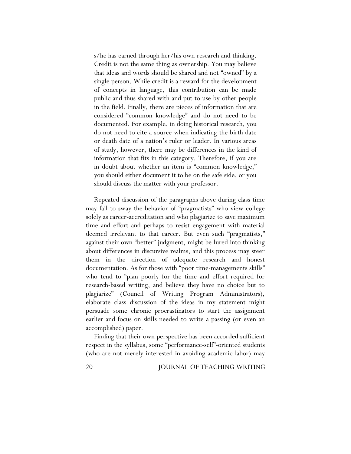s/he has earned through her/his own research and thinking. Credit is not the same thing as ownership. You may believe that ideas and words should be shared and not "owned" by a single person. While credit is a reward for the development of concepts in language, this contribution can be made public and thus shared with and put to use by other people in the field. Finally, there are pieces of information that are considered "common knowledge" and do not need to be documented. For example, in doing historical research, you do not need to cite a source when indicating the birth date or death date of a nation's ruler or leader. In various areas of study, however, there may be differences in the kind of information that fits in this category. Therefore, if you are in doubt about whether an item is "common knowledge," you should either document it to be on the safe side, or you should discuss the matter with your professor.

Repeated discussion of the paragraphs above during class time may fail to sway the behavior of "pragmatists" who view college solely as career-accreditation and who plagiarize to save maximum time and effort and perhaps to resist engagement with material deemed irrelevant to that career. But even such "pragmatists," against their own "better" judgment, might be lured into thinking about differences in discursive realms, and this process may steer them in the direction of adequate research and honest documentation. As for those with "poor time-managements skills" who tend to "plan poorly for the time and effort required for research-based writing, and believe they have no choice but to plagiarize" (Council of Writing Program Administrators), elaborate class discussion of the ideas in my statement might persuade some chronic procrastinators to start the assignment earlier and focus on skills needed to write a passing (or even an accomplished) paper.

Finding that their own perspective has been accorded sufficient respect in the syllabus, some "performance-self"-oriented students (who are not merely interested in avoiding academic labor) may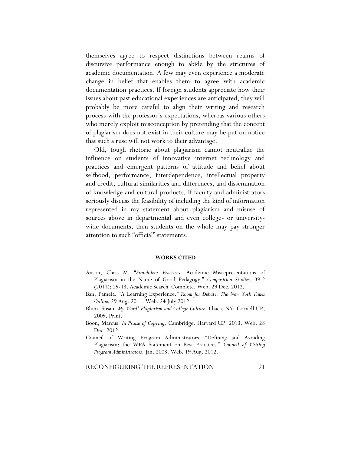themselves agree to respect distinctions between realms of discursive performance enough to abide by the strictures of academic documentation. A few may even experience a moderate change in belief that enables them to agree with academic documentation practices. If foreign students appreciate how their issues about past educational experiences are anticipated, they will probably be more careful to align their writing and research process with the professor's expectations, whereas various others who merely exploit misconception by pretending that the concept of plagiarism does not exist in their culture may be put on notice that such a ruse will not work to their advantage.

Old, tough rhetoric about plagiarism cannot neutralize the influence on students of innovative internet technology and practices and emergent patterns of attitude and belief about selfhood, performance, interdependence, intellectual property and credit, cultural similarities and differences, and dissemination of knowledge and cultural products. If faculty and administrators seriously discuss the feasibility of including the kind of information represented in my statement about plagiarism and misuse of sources above in departmental and even college- or universitywide documents, then students on the whole may pay stronger attention to such "official" statements.

## **WORKS CITED**

- Anson, Chris M. "*Fraudulent Practices*: Academic Misrepresentations of Plagiarism in the Name of Good Pedagogy." *Composition Studies*. 39.2 (2011): 29-43. Academic Search Complete. Web. 29 Dec. 2012.
- Ban, Pamela. "A Learning Experience." *Room for Debate. The New York Times Online.* 29 Aug. 2011. Web. 24 July 2012.
- Blum, Susan. *My Word! Plagiarism and College Culture*. Ithaca, NY: Cornell UP, 2009. Print.
- Boon, Marcus. *In Praise of Copying*. Cambridge: Harvard UP, 2013. Web. 28 Dec. 2012.
- Council of Writing Program Administrators. "Defining and Avoiding Plagiarism: the WPA Statement on Best Practices." *Council of Writing Program Administrators*. Jan. 2003. Web. 19 Aug. 2012.

RECONFIGURING THE REPRESENTATION 21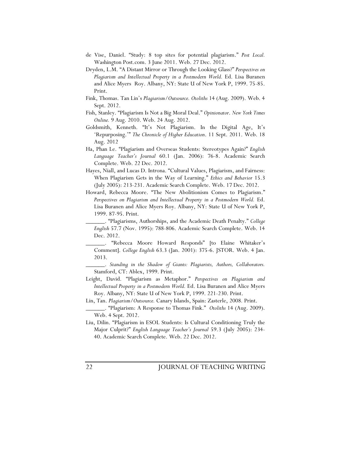- de Vise, Daniel. "Study: 8 top sites for potential plagiarism." *Post Local.*  Washington Post.com. 3 June 2011. Web. 27 Dec. 2012.
- Dryden, L.M. "A Distant Mirror or Through the Looking Glass?" *Perspectives on Plagiarism and Intellectual Property in a Postmodern World.* Ed. Lisa Buranen and Alice Myers Roy. Albany, NY: State U of New York P, 1999. 75-85. Print.
- Fink, Thomas. Tan Lin's *Plagiarism/Outsource. Otoliths* 14 (Aug. 2009). Web. 4 Sept. 2012.
- Fish, Stanley. "Plagiarism Is Not a Big Moral Deal." *Opinionator*. *New York Times Online.* 9 Aug. 2010. Web. 24 Aug. 2012.
- Goldsmith, Kenneth. "It's Not Plagiarism. In the Digital Age, It's 'Repurposing.'" *The Chronicle of Higher Education*. 11 Sept. 2011. Web. 18 Aug. 2012
- Ha, Phan Le. "Plagiarism and Overseas Students: Stereotypes Again?" *English Language Teacher's Journal* 60.1 (Jan. 2006): 76-8. Academic Search Complete. Web. 22 Dec. 2012.
- Hayes, Niall, and Lucas D. Introna. "Cultural Values, Plagiarism, and Fairness: When Plagiarism Gets in the Way of Learning." *Ethics and Behavior* 15.3 (July 2005): 213-231. Academic Search Complete. Web. 17 Dec. 2012.
- Howard, Rebecca Moore. "The New Abolitionism Comes to Plagiarism." Perspectives on Plagiarism and Intellectual Property in a Postmodern World. Ed. Lisa Buranen and Alice Myers Roy. Albany, NY: State U of New York P, 1999. 87-95. Print.

\_\_\_\_\_\_. "Plagiarisms, Authorships, and the Academic Death Penalty." *College English* 57.7 (Nov. 1995): 788-806. Academic Search Complete. Web. 14 Dec. 2012.

- \_\_\_\_\_\_. "Rebecca Moore Howard Responds" [to Elaine Whitaker's Comment]. *College English* 63.3 (Jan. 2001): 375-6. JSTOR. Web. 4 Jan. 2013.
- \_\_\_\_\_\_. *Standing in the Shadow of Giants: Plagiarists, Authors, Collaborators.* Stamford, CT: Ablex, 1999. Print.
- Leight, David. "Plagiarism as Metaphor." *Perspectives on Plagiarism and Intellectual Property in a Postmodern World.* Ed. Lisa Buranen and Alice Myers Roy. Albany, NY: State U of New York P, 1999. 221-230. Print.
- Lin, Tan. *Plagiarism/Outsource.* Canary Islands, Spain: Zasterle, 2008*.* Print.
- \_\_\_\_\_\_. "Plagiarism: A Response to Thomas Fink." *Otoliths* 14 (Aug. 2009). Web. 4 Sept. 2012.
- Liu, Dilin. "Plagiarism in ESOL Students: Is Cultural Conditioning Truly the Major Culprit?" *English Language Teacher's Journal* 59.3 (July 2005): 234- 40. Academic Search Complete. Web. 22 Dec. 2012.